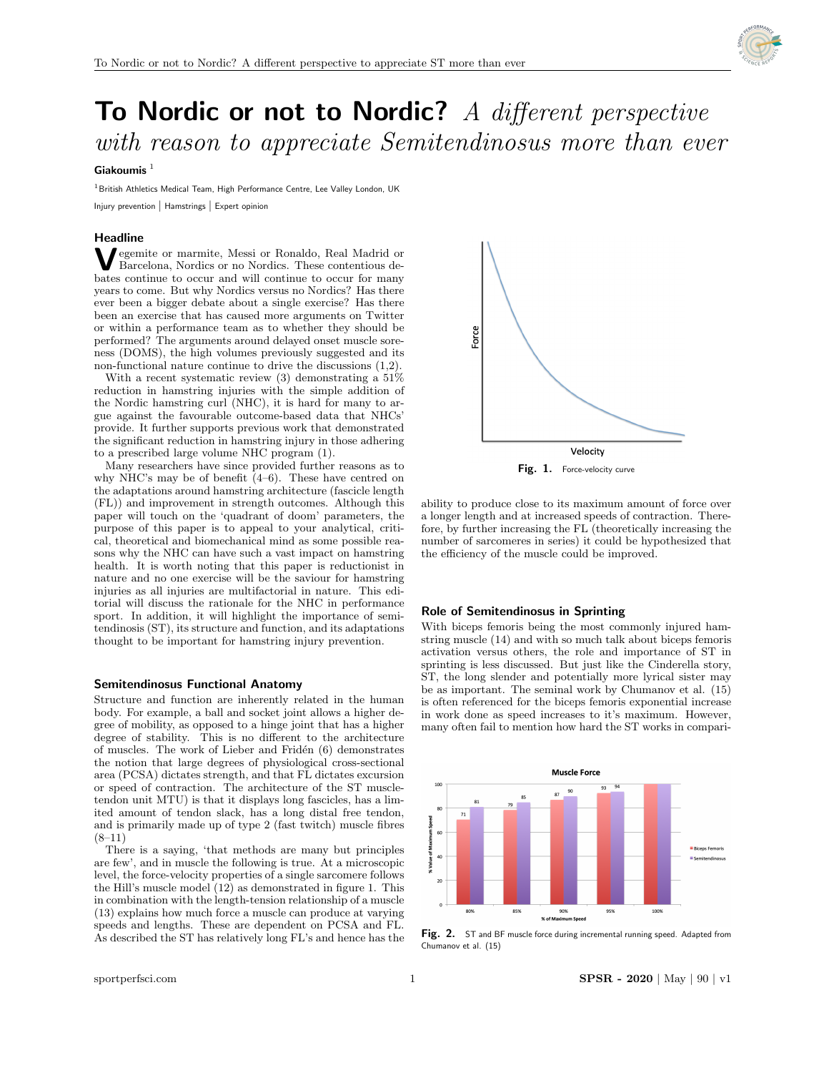

# To Nordic or not to Nordic? A different perspective with reason to appreciate Semitendinosus more than ever

# Giakoumis $1$

<sup>1</sup> British Athletics Medical Team, High Performance Centre, Lee Valley London, UK Injury prevention | Hamstrings | Expert opinion

## **Headline**

**V** egemite or marmite, Messi or Ronaldo, Real Madrid or Barcelona, Nordics or no Nordics. These contentious de-Barcelona, Nordics or no Nordics. These contentious debates continue to occur and will continue to occur for many years to come. But why Nordics versus no Nordics? Has there ever been a bigger debate about a single exercise? Has there been an exercise that has caused more arguments on Twitter or within a performance team as to whether they should be performed? The arguments around delayed onset muscle soreness (DOMS), the high volumes previously suggested and its non-functional nature continue to drive the discussions (1,2).

With a recent systematic review (3) demonstrating a 51% reduction in hamstring injuries with the simple addition of the Nordic hamstring curl (NHC), it is hard for many to argue against the favourable outcome-based data that NHCs' provide. It further supports previous work that demonstrated the significant reduction in hamstring injury in those adhering to a prescribed large volume NHC program (1).

Many researchers have since provided further reasons as to why NHC's may be of benefit (4–6). These have centred on the adaptations around hamstring architecture (fascicle length (FL)) and improvement in strength outcomes. Although this paper will touch on the 'quadrant of doom' parameters, the purpose of this paper is to appeal to your analytical, critical, theoretical and biomechanical mind as some possible reasons why the NHC can have such a vast impact on hamstring health. It is worth noting that this paper is reductionist in nature and no one exercise will be the saviour for hamstring injuries as all injuries are multifactorial in nature. This editorial will discuss the rationale for the NHC in performance sport. In addition, it will highlight the importance of semitendinosis (ST), its structure and function, and its adaptations thought to be important for hamstring injury prevention.

## Semitendinosus Functional Anatomy

Structure and function are inherently related in the human body. For example, a ball and socket joint allows a higher degree of mobility, as opposed to a hinge joint that has a higher degree of stability. This is no different to the architecture of muscles. The work of Lieber and Fridén (6) demonstrates the notion that large degrees of physiological cross-sectional area (PCSA) dictates strength, and that FL dictates excursion or speed of contraction. The architecture of the ST muscletendon unit MTU) is that it displays long fascicles, has a limited amount of tendon slack, has a long distal free tendon, and is primarily made up of type 2 (fast twitch) muscle fibres (8–11)

There is a saying, 'that methods are many but principles are few', and in muscle the following is true. At a microscopic level, the force-velocity properties of a single sarcomere follows the Hill's muscle model (12) as demonstrated in figure 1. This in combination with the length-tension relationship of a muscle (13) explains how much force a muscle can produce at varying speeds and lengths. These are dependent on PCSA and FL. As described the ST has relatively long FL's and hence has the



ability to produce close to its maximum amount of force over a longer length and at increased speeds of contraction. Therefore, by further increasing the FL (theoretically increasing the number of sarcomeres in series) it could be hypothesized that the efficiency of the muscle could be improved.

#### Role of Semitendinosus in Sprinting

With biceps femoris being the most commonly injured hamstring muscle (14) and with so much talk about biceps femoris activation versus others, the role and importance of ST in sprinting is less discussed. But just like the Cinderella story, ST, the long slender and potentially more lyrical sister may be as important. The seminal work by Chumanov et al. (15) is often referenced for the biceps femoris exponential increase in work done as speed increases to it's maximum. However, many often fail to mention how hard the ST works in compari-



Fig. 2. ST and BF muscle force during incremental running speed. Adapted from Chumanov et al. (15)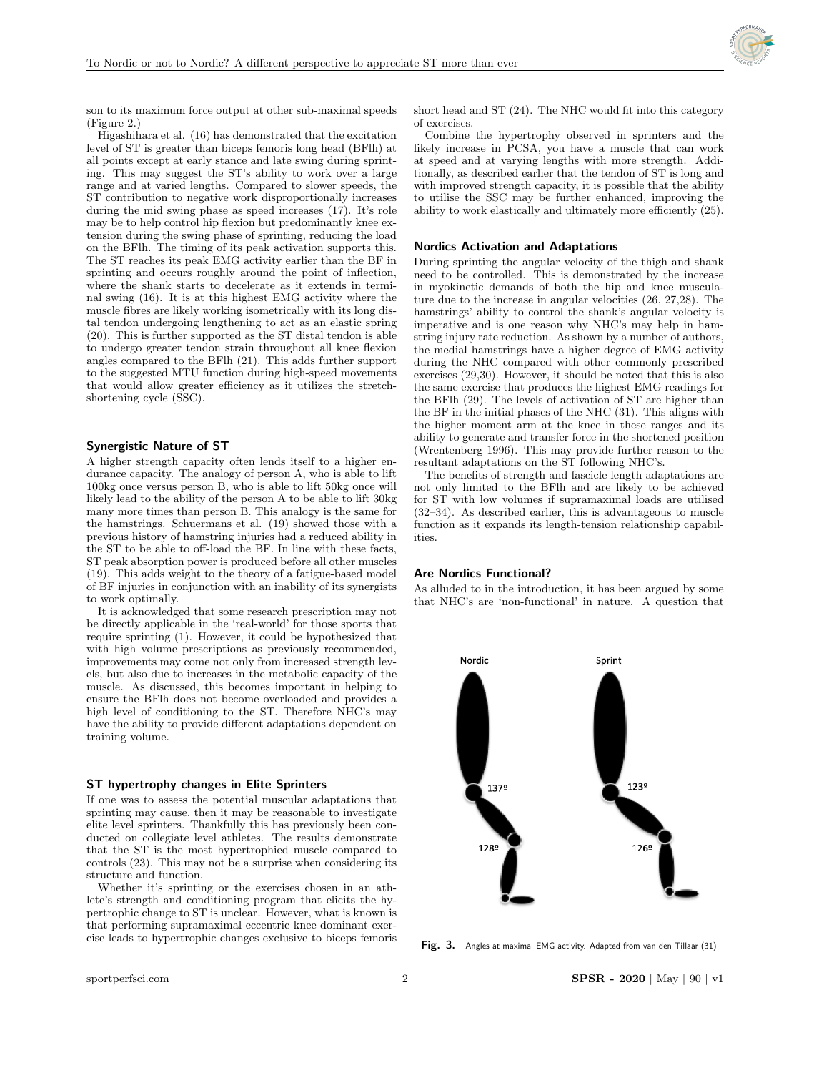

son to its maximum force output at other sub-maximal speeds (Figure 2.)

Higashihara et al. (16) has demonstrated that the excitation level of ST is greater than biceps femoris long head (BFlh) at all points except at early stance and late swing during sprinting. This may suggest the ST's ability to work over a large range and at varied lengths. Compared to slower speeds, the ST contribution to negative work disproportionally increases during the mid swing phase as speed increases (17). It's role may be to help control hip flexion but predominantly knee extension during the swing phase of sprinting, reducing the load on the BFlh. The timing of its peak activation supports this. The ST reaches its peak EMG activity earlier than the BF in sprinting and occurs roughly around the point of inflection, where the shank starts to decelerate as it extends in terminal swing (16). It is at this highest EMG activity where the muscle fibres are likely working isometrically with its long distal tendon undergoing lengthening to act as an elastic spring (20). This is further supported as the ST distal tendon is able to undergo greater tendon strain throughout all knee flexion angles compared to the BFlh (21). This adds further support to the suggested MTU function during high-speed movements that would allow greater efficiency as it utilizes the stretchshortening cycle (SSC).

#### Synergistic Nature of ST

A higher strength capacity often lends itself to a higher endurance capacity. The analogy of person A, who is able to lift 100kg once versus person B, who is able to lift 50kg once will likely lead to the ability of the person A to be able to lift 30kg many more times than person B. This analogy is the same for the hamstrings. Schuermans et al. (19) showed those with a previous history of hamstring injuries had a reduced ability in the ST to be able to off-load the BF. In line with these facts, ST peak absorption power is produced before all other muscles (19). This adds weight to the theory of a fatigue-based model of BF injuries in conjunction with an inability of its synergists to work optimally.

It is acknowledged that some research prescription may not be directly applicable in the 'real-world' for those sports that require sprinting (1). However, it could be hypothesized that with high volume prescriptions as previously recommended, improvements may come not only from increased strength levels, but also due to increases in the metabolic capacity of the muscle. As discussed, this becomes important in helping to ensure the BFlh does not become overloaded and provides a high level of conditioning to the ST. Therefore NHC's may have the ability to provide different adaptations dependent on training volume.

## ST hypertrophy changes in Elite Sprinters

If one was to assess the potential muscular adaptations that sprinting may cause, then it may be reasonable to investigate elite level sprinters. Thankfully this has previously been conducted on collegiate level athletes. The results demonstrate that the ST is the most hypertrophied muscle compared to controls (23). This may not be a surprise when considering its structure and function.

Whether it's sprinting or the exercises chosen in an athlete's strength and conditioning program that elicits the hypertrophic change to ST is unclear. However, what is known is that performing supramaximal eccentric knee dominant exercise leads to hypertrophic changes exclusive to biceps femoris

short head and ST (24). The NHC would fit into this category of exercises.

Combine the hypertrophy observed in sprinters and the likely increase in PCSA, you have a muscle that can work at speed and at varying lengths with more strength. Additionally, as described earlier that the tendon of ST is long and with improved strength capacity, it is possible that the ability to utilise the SSC may be further enhanced, improving the ability to work elastically and ultimately more efficiently (25).

## Nordics Activation and Adaptations

During sprinting the angular velocity of the thigh and shank need to be controlled. This is demonstrated by the increase in myokinetic demands of both the hip and knee musculature due to the increase in angular velocities (26, 27,28). The hamstrings' ability to control the shank's angular velocity is imperative and is one reason why NHC's may help in hamstring injury rate reduction. As shown by a number of authors, the medial hamstrings have a higher degree of EMG activity during the NHC compared with other commonly prescribed exercises (29,30). However, it should be noted that this is also the same exercise that produces the highest EMG readings for the BFlh (29). The levels of activation of ST are higher than the BF in the initial phases of the NHC (31). This aligns with the higher moment arm at the knee in these ranges and its ability to generate and transfer force in the shortened position (Wrentenberg 1996). This may provide further reason to the resultant adaptations on the ST following NHC's.

The benefits of strength and fascicle length adaptations are not only limited to the BFlh and are likely to be achieved for ST with low volumes if supramaximal loads are utilised (32–34). As described earlier, this is advantageous to muscle function as it expands its length-tension relationship capabilities.

# Are Nordics Functional?

As alluded to in the introduction, it has been argued by some that NHC's are 'non-functional' in nature. A question that



Fig. 3. Angles at maximal EMG activity. Adapted from van den Tillaar (31)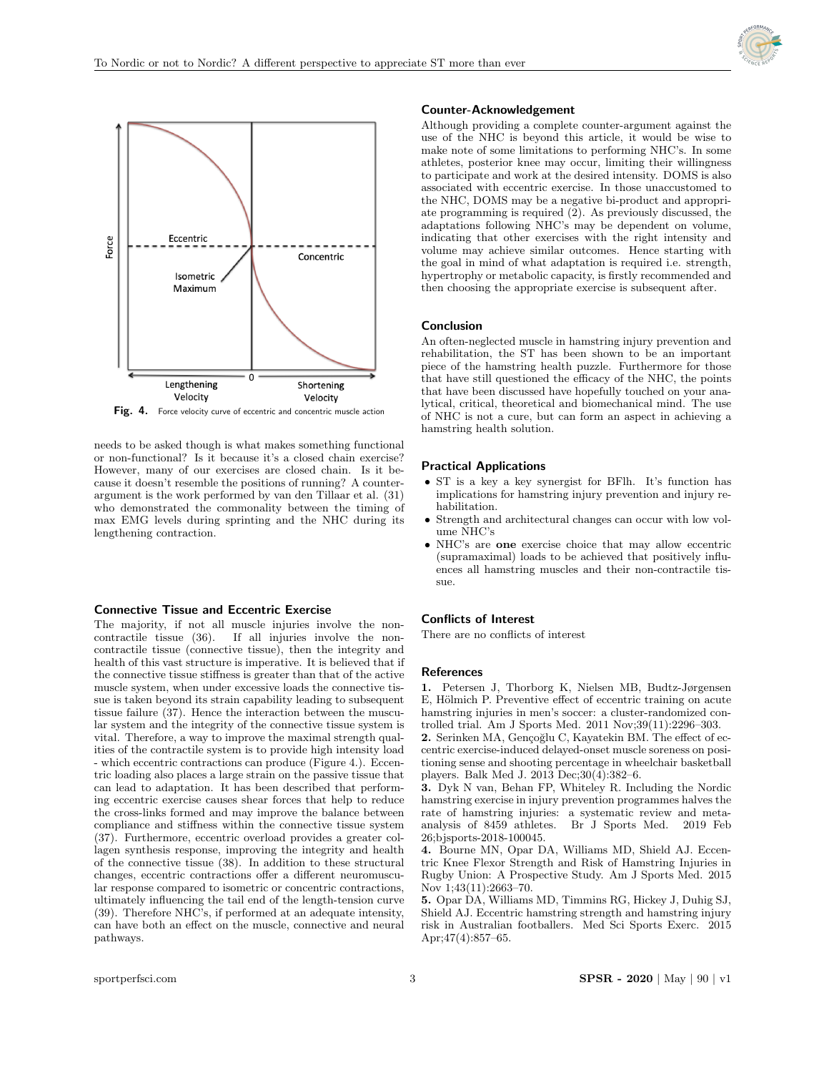



Fig. 4. Force velocity curve of eccentric and concentric muscle action

needs to be asked though is what makes something functional or non-functional? Is it because it's a closed chain exercise? However, many of our exercises are closed chain. Is it because it doesn't resemble the positions of running? A counterargument is the work performed by van den Tillaar et al. (31) who demonstrated the commonality between the timing of max EMG levels during sprinting and the NHC during its lengthening contraction.

#### Connective Tissue and Eccentric Exercise

The majority, if not all muscle injuries involve the non-<br>contractile tissue (36). If all injuries involve the non-If all injuries involve the noncontractile tissue (connective tissue), then the integrity and health of this vast structure is imperative. It is believed that if the connective tissue stiffness is greater than that of the active muscle system, when under excessive loads the connective tissue is taken beyond its strain capability leading to subsequent tissue failure (37). Hence the interaction between the muscular system and the integrity of the connective tissue system is vital. Therefore, a way to improve the maximal strength qualities of the contractile system is to provide high intensity load - which eccentric contractions can produce (Figure 4.). Eccentric loading also places a large strain on the passive tissue that can lead to adaptation. It has been described that performing eccentric exercise causes shear forces that help to reduce the cross-links formed and may improve the balance between compliance and stiffness within the connective tissue system (37). Furthermore, eccentric overload provides a greater collagen synthesis response, improving the integrity and health of the connective tissue (38). In addition to these structural changes, eccentric contractions offer a different neuromuscular response compared to isometric or concentric contractions, ultimately influencing the tail end of the length-tension curve (39). Therefore NHC's, if performed at an adequate intensity, can have both an effect on the muscle, connective and neural pathways.

## Counter-Acknowledgement

Although providing a complete counter-argument against the use of the NHC is beyond this article, it would be wise to make note of some limitations to performing NHC's. In some athletes, posterior knee may occur, limiting their willingness to participate and work at the desired intensity. DOMS is also associated with eccentric exercise. In those unaccustomed to the NHC, DOMS may be a negative bi-product and appropriate programming is required (2). As previously discussed, the adaptations following NHC's may be dependent on volume, indicating that other exercises with the right intensity and volume may achieve similar outcomes. Hence starting with the goal in mind of what adaptation is required i.e. strength, hypertrophy or metabolic capacity, is firstly recommended and then choosing the appropriate exercise is subsequent after.

## Conclusion

An often-neglected muscle in hamstring injury prevention and rehabilitation, the ST has been shown to be an important piece of the hamstring health puzzle. Furthermore for those that have still questioned the efficacy of the NHC, the points that have been discussed have hopefully touched on your analytical, critical, theoretical and biomechanical mind. The use of NHC is not a cure, but can form an aspect in achieving a hamstring health solution.

#### Practical Applications

- ST is a key a key synergist for BFlh. It's function has implications for hamstring injury prevention and injury rehabilitation.
- Strength and architectural changes can occur with low volume NHC's
- NHC's are one exercise choice that may allow eccentric (supramaximal) loads to be achieved that positively influences all hamstring muscles and their non-contractile tissue.

# Conflicts of Interest

There are no conflicts of interest

## References

1. Petersen J, Thorborg K, Nielsen MB, Budtz-Jørgensen E, Hölmich P. Preventive effect of eccentric training on acute hamstring injuries in men's soccer: a cluster-randomized controlled trial. Am J Sports Med. 2011 Nov;39(11):2296–303.

2. Serinken MA, Gençoğlu C, Kayatekin BM. The effect of eccentric exercise-induced delayed-onset muscle soreness on positioning sense and shooting percentage in wheelchair basketball players. Balk Med J. 2013 Dec;30(4):382–6.

3. Dyk N van, Behan FP, Whiteley R. Including the Nordic hamstring exercise in injury prevention programmes halves the rate of hamstring injuries: a systematic review and metaanalysis of 8459 athletes. Br J Sports Med. 2019 Feb 26;bjsports-2018-100045.

4. Bourne MN, Opar DA, Williams MD, Shield AJ. Eccentric Knee Flexor Strength and Risk of Hamstring Injuries in Rugby Union: A Prospective Study. Am J Sports Med. 2015 Nov 1;43(11):2663–70.

5. Opar DA, Williams MD, Timmins RG, Hickey J, Duhig SJ, Shield AJ. Eccentric hamstring strength and hamstring injury risk in Australian footballers. Med Sci Sports Exerc. 2015 Apr;47(4):857–65.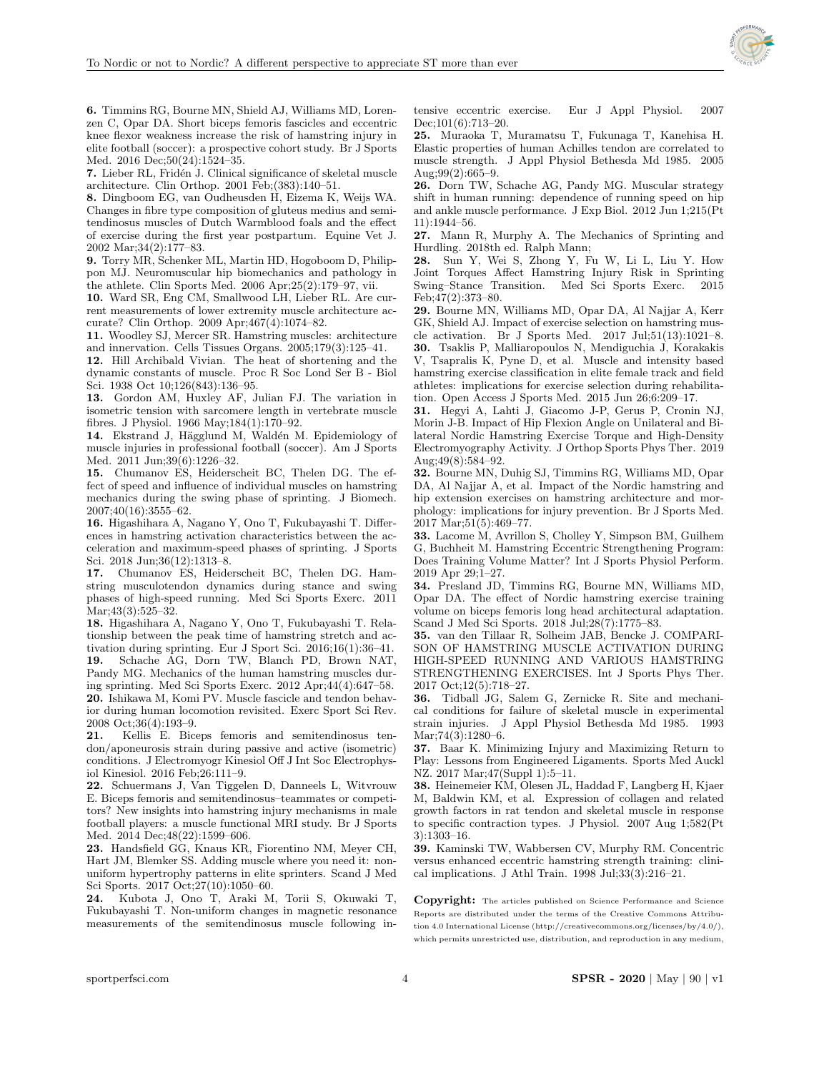

6. Timmins RG, Bourne MN, Shield AJ, Williams MD, Lorenzen C, Opar DA. Short biceps femoris fascicles and eccentric knee flexor weakness increase the risk of hamstring injury in elite football (soccer): a prospective cohort study. Br J Sports Med. 2016 Dec;50(24):1524–35.

7. Lieber RL, Fridén J. Clinical significance of skeletal muscle architecture. Clin Orthop. 2001 Feb;(383):140–51.

8. Dingboom EG, van Oudheusden H, Eizema K, Weijs WA. Changes in fibre type composition of gluteus medius and semitendinosus muscles of Dutch Warmblood foals and the effect of exercise during the first year postpartum. Equine Vet J. 2002 Mar;34(2):177–83.

9. Torry MR, Schenker ML, Martin HD, Hogoboom D, Philippon MJ. Neuromuscular hip biomechanics and pathology in the athlete. Clin Sports Med. 2006 Apr;25(2):179–97, vii.

10. Ward SR, Eng CM, Smallwood LH, Lieber RL. Are current measurements of lower extremity muscle architecture accurate? Clin Orthop. 2009 Apr;467(4):1074–82.

11. Woodley SJ, Mercer SR. Hamstring muscles: architecture and innervation. Cells Tissues Organs. 2005;179(3):125–41.

12. Hill Archibald Vivian. The heat of shortening and the dynamic constants of muscle. Proc R Soc Lond Ser B - Biol Sci. 1938 Oct 10;126(843):136–95.

13. Gordon AM, Huxley AF, Julian FJ. The variation in isometric tension with sarcomere length in vertebrate muscle fibres. J Physiol. 1966 May;184(1):170–92.

14. Ekstrand J, Hägglund M, Waldén M. Epidemiology of muscle injuries in professional football (soccer). Am J Sports Med. 2011 Jun;39(6):1226–32.

15. Chumanov ES, Heiderscheit BC, Thelen DG. The effect of speed and influence of individual muscles on hamstring mechanics during the swing phase of sprinting. J Biomech. 2007;40(16):3555–62.

16. Higashihara A, Nagano Y, Ono T, Fukubayashi T. Differences in hamstring activation characteristics between the acceleration and maximum-speed phases of sprinting. J Sports Sci. 2018 Jun;36(12):1313–8.

17. Chumanov ES, Heiderscheit BC, Thelen DG. Hamstring musculotendon dynamics during stance and swing phases of high-speed running. Med Sci Sports Exerc. 2011 Mar;43(3):525–32.

18. Higashihara A, Nagano Y, Ono T, Fukubayashi T. Relationship between the peak time of hamstring stretch and activation during sprinting. Eur J Sport Sci. 2016;16(1):36–41. 19. Schache AG, Dorn TW, Blanch PD, Brown NAT, Pandy MG. Mechanics of the human hamstring muscles during sprinting. Med Sci Sports Exerc. 2012 Apr;44(4):647–58. 20. Ishikawa M, Komi PV. Muscle fascicle and tendon behavior during human locomotion revisited. Exerc Sport Sci Rev. 2008 Oct;36(4):193–9.

21. Kellis E. Biceps femoris and semitendinosus tendon/aponeurosis strain during passive and active (isometric) conditions. J Electromyogr Kinesiol Off J Int Soc Electrophysiol Kinesiol. 2016 Feb;26:111–9.

22. Schuermans J, Van Tiggelen D, Danneels L, Witvrouw E. Biceps femoris and semitendinosus–teammates or competitors? New insights into hamstring injury mechanisms in male football players: a muscle functional MRI study. Br J Sports Med. 2014 Dec;48(22):1599–606.

23. Handsfield GG, Knaus KR, Fiorentino NM, Meyer CH, Hart JM, Blemker SS. Adding muscle where you need it: nonuniform hypertrophy patterns in elite sprinters. Scand J Med Sci Sports. 2017 Oct;27(10):1050–60.

24. Kubota J, Ono T, Araki M, Torii S, Okuwaki T, Fukubayashi T. Non-uniform changes in magnetic resonance measurements of the semitendinosus muscle following intensive eccentric exercise. Eur J Appl Physiol. 2007 Dec;101(6):713–20.

25. Muraoka T, Muramatsu T, Fukunaga T, Kanehisa H. Elastic properties of human Achilles tendon are correlated to muscle strength. J Appl Physiol Bethesda Md 1985. 2005 Aug;99(2):665–9.

26. Dorn TW, Schache AG, Pandy MG. Muscular strategy shift in human running: dependence of running speed on hip and ankle muscle performance. J Exp Biol. 2012 Jun 1;215(Pt 11):1944–56.

27. Mann R, Murphy A. The Mechanics of Sprinting and Hurdling. 2018th ed. Ralph Mann;

28. Sun Y, Wei S, Zhong Y, Fu W, Li L, Liu Y. How Joint Torques Affect Hamstring Injury Risk in Sprinting Swing–Stance Transition. Med Sci Sports Exerc. 2015 Feb;47(2):373–80.

29. Bourne MN, Williams MD, Opar DA, Al Najjar A, Kerr GK, Shield AJ. Impact of exercise selection on hamstring muscle activation. Br J Sports Med. 2017 Jul;51(13):1021–8. 30. Tsaklis P, Malliaropoulos N, Mendiguchia J, Korakakis V, Tsapralis K, Pyne D, et al. Muscle and intensity based hamstring exercise classification in elite female track and field athletes: implications for exercise selection during rehabilitation. Open Access J Sports Med. 2015 Jun 26;6:209–17.

31. Hegyi A, Lahti J, Giacomo J-P, Gerus P, Cronin NJ, Morin J-B. Impact of Hip Flexion Angle on Unilateral and Bilateral Nordic Hamstring Exercise Torque and High-Density Electromyography Activity. J Orthop Sports Phys Ther. 2019 Aug;49(8):584–92.

32. Bourne MN, Duhig SJ, Timmins RG, Williams MD, Opar DA, Al Najjar A, et al. Impact of the Nordic hamstring and hip extension exercises on hamstring architecture and morphology: implications for injury prevention. Br J Sports Med. 2017 Mar;51(5):469–77.

33. Lacome M, Avrillon S, Cholley Y, Simpson BM, Guilhem G, Buchheit M. Hamstring Eccentric Strengthening Program: Does Training Volume Matter? Int J Sports Physiol Perform. 2019 Apr 29;1–27.

34. Presland JD, Timmins RG, Bourne MN, Williams MD, Opar DA. The effect of Nordic hamstring exercise training volume on biceps femoris long head architectural adaptation. Scand J Med Sci Sports. 2018 Jul;28(7):1775–83.

35. van den Tillaar R, Solheim JAB, Bencke J. COMPARI-SON OF HAMSTRING MUSCLE ACTIVATION DURING HIGH-SPEED RUNNING AND VARIOUS HAMSTRING STRENGTHENING EXERCISES. Int J Sports Phys Ther. 2017 Oct;12(5):718–27.

36. Tidball JG, Salem G, Zernicke R. Site and mechanical conditions for failure of skeletal muscle in experimental strain injuries. J Appl Physiol Bethesda Md 1985. 1993 Mar;74(3):1280–6.

37. Baar K. Minimizing Injury and Maximizing Return to Play: Lessons from Engineered Ligaments. Sports Med Auckl NZ. 2017 Mar;47(Suppl 1):5–11.

38. Heinemeier KM, Olesen JL, Haddad F, Langberg H, Kjaer M, Baldwin KM, et al. Expression of collagen and related growth factors in rat tendon and skeletal muscle in response to specific contraction types. J Physiol. 2007 Aug 1;582(Pt 3):1303–16.

39. Kaminski TW, Wabbersen CV, Murphy RM. Concentric versus enhanced eccentric hamstring strength training: clinical implications. J Athl Train.  $1998$  Jul; $33(3):216-21$ .

Copyright: The articles published on Science Performance and Science Reports are distributed under the terms of the Creative Commons Attribution 4.0 International License (http://creativecommons.org/licenses/by/4.0/), which permits unrestricted use, distribution, and reproduction in any medium,